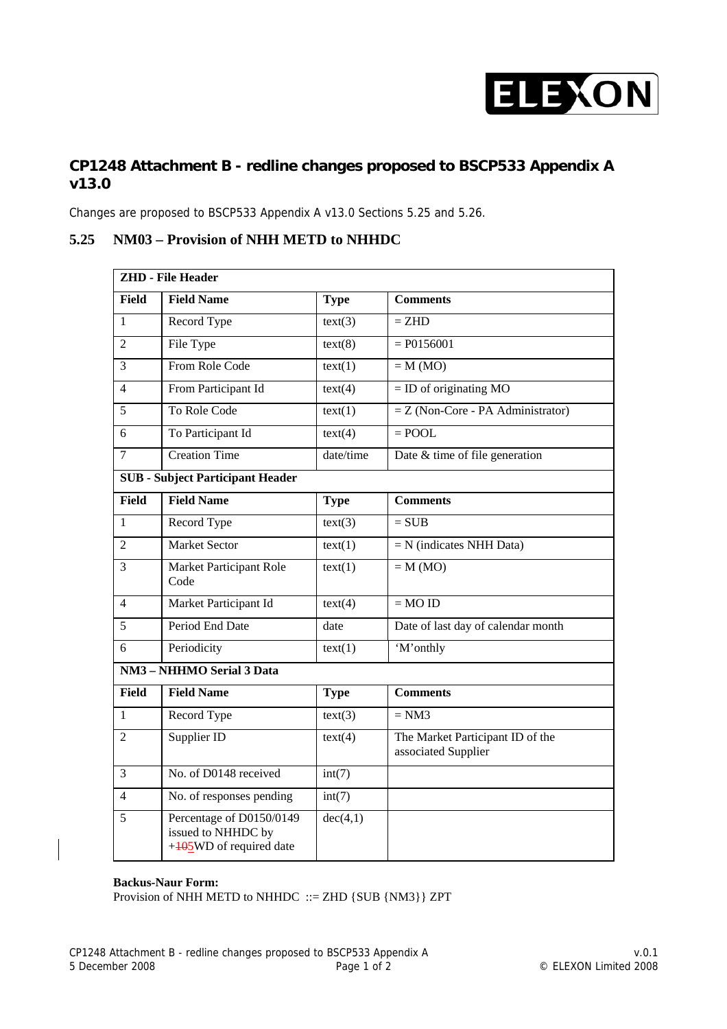

# **CP1248 Attachment B - redline changes proposed to BSCP533 Appendix A v13.0**

Changes are proposed to BSCP533 Appendix A v13.0 Sections 5.25 and 5.26.

### **5.25 NM03 – Provision of NHH METD to NHHDC**

| <b>ZHD</b> - File Header                |                                                                           |             |                                                         |  |  |
|-----------------------------------------|---------------------------------------------------------------------------|-------------|---------------------------------------------------------|--|--|
| <b>Field</b>                            | <b>Field Name</b>                                                         | <b>Type</b> | <b>Comments</b>                                         |  |  |
| 1                                       | Record Type                                                               | text(3)     | $=$ ZHD                                                 |  |  |
| 2                                       | File Type                                                                 | text(8)     | $= P0156001$                                            |  |  |
| 3                                       | From Role Code                                                            | text(1)     | $=$ M (MO)                                              |  |  |
| $\overline{4}$                          | From Participant Id                                                       | text(4)     | $=$ ID of originating MO                                |  |  |
| 5                                       | To Role Code                                                              | text(1)     | $=$ Z (Non-Core - PA Administrator)                     |  |  |
| 6                                       | To Participant Id                                                         | text(4)     | $=$ POOL                                                |  |  |
| 7                                       | <b>Creation Time</b>                                                      | date/time   | Date & time of file generation                          |  |  |
| <b>SUB</b> - Subject Participant Header |                                                                           |             |                                                         |  |  |
| <b>Field</b>                            | <b>Field Name</b>                                                         | <b>Type</b> | <b>Comments</b>                                         |  |  |
| $\mathbf{1}$                            | Record Type                                                               | text(3)     | $= SUB$                                                 |  |  |
| 2                                       | <b>Market Sector</b>                                                      | text(1)     | $=N$ (indicates NHH Data)                               |  |  |
| 3                                       | Market Participant Role<br>Code                                           | text(1)     | $= M (MO)$                                              |  |  |
| $\overline{4}$                          | Market Participant Id                                                     | text(4)     | $= MOID$                                                |  |  |
| 5                                       | Period End Date                                                           | date        | Date of last day of calendar month                      |  |  |
| 6                                       | Periodicity                                                               | text(1)     | 'M'onthly                                               |  |  |
| <b>NM3</b> - NHHMO Serial 3 Data        |                                                                           |             |                                                         |  |  |
| <b>Field</b>                            | <b>Field Name</b>                                                         | <b>Type</b> | <b>Comments</b>                                         |  |  |
| 1                                       | Record Type                                                               | text(3)     | $= NM3$                                                 |  |  |
| $\overline{2}$                          | Supplier ID                                                               | text(4)     | The Market Participant ID of the<br>associated Supplier |  |  |
| 3                                       | No. of D0148 received                                                     | int(7)      |                                                         |  |  |
| 4                                       | No. of responses pending                                                  | int(7)      |                                                         |  |  |
| 5                                       | Percentage of D0150/0149<br>issued to NHHDC by<br>+405WD of required date | dec(4,1)    |                                                         |  |  |

#### **Backus-Naur Form:**

Provision of NHH METD to NHHDC ::= ZHD {SUB {NM3}} ZPT